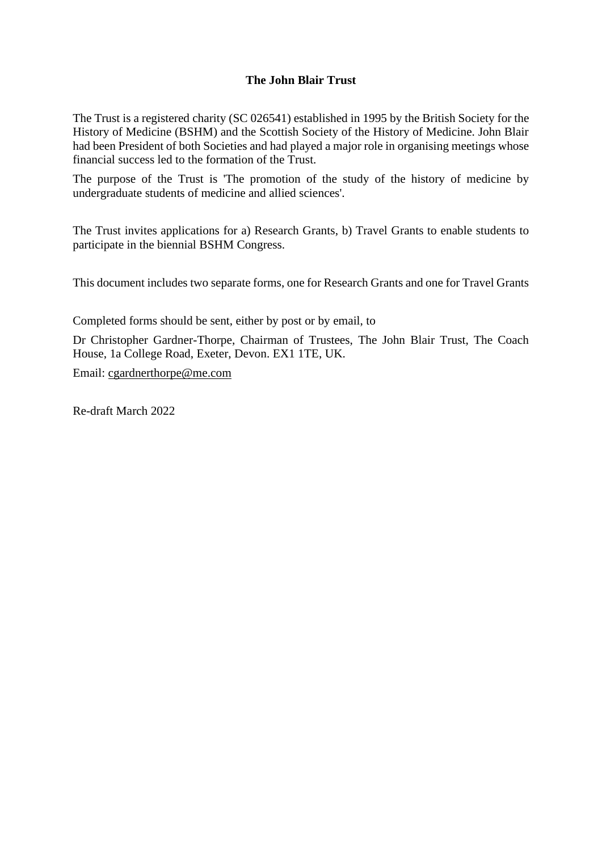## **The John Blair Trust**

The Trust is a registered charity (SC 026541) established in 1995 by the British Society for the History of Medicine (BSHM) and the Scottish Society of the History of Medicine. John Blair had been President of both Societies and had played a major role in organising meetings whose financial success led to the formation of the Trust.

The purpose of the Trust is 'The promotion of the study of the history of medicine by undergraduate students of medicine and allied sciences'.

The Trust invites applications for a) Research Grants, b) Travel Grants to enable students to participate in the biennial BSHM Congress.

This document includes two separate forms, one for Research Grants and one for Travel Grants

Completed forms should be sent, either by post or by email, to

Dr Christopher Gardner-Thorpe, Chairman of Trustees, The John Blair Trust, The Coach House, 1a College Road, Exeter, Devon. EX1 1TE, UK.

Email: [cgardnerthorpe@me.com](mailto:sue.weir@btinternet.com)

Re-draft March 2022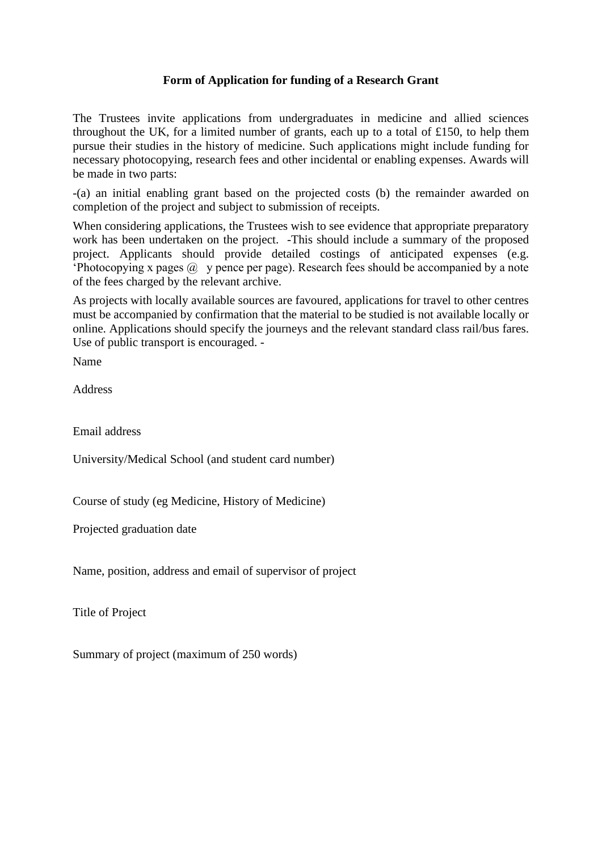## **Form of Application for funding of a Research Grant**

The Trustees invite applications from undergraduates in medicine and allied sciences throughout the UK, for a limited number of grants, each up to a total of £150, to help them pursue their studies in the history of medicine. Such applications might include funding for necessary photocopying, research fees and other incidental or enabling expenses. Awards will be made in two parts:

-(a) an initial enabling grant based on the projected costs (b) the remainder awarded on completion of the project and subject to submission of receipts.

When considering applications, the Trustees wish to see evidence that appropriate preparatory work has been undertaken on the project. -This should include a summary of the proposed project. Applicants should provide detailed costings of anticipated expenses (e.g. 'Photocopying x pages  $\omega$  y pence per page). Research fees should be accompanied by a note of the fees charged by the relevant archive.

As projects with locally available sources are favoured, applications for travel to other centres must be accompanied by confirmation that the material to be studied is not available locally or online. Applications should specify the journeys and the relevant standard class rail/bus fares. Use of public transport is encouraged. -

Name

Address

Email address

University/Medical School (and student card number)

Course of study (eg Medicine, History of Medicine)

Projected graduation date

Name, position, address and email of supervisor of project

Title of Project

Summary of project (maximum of 250 words)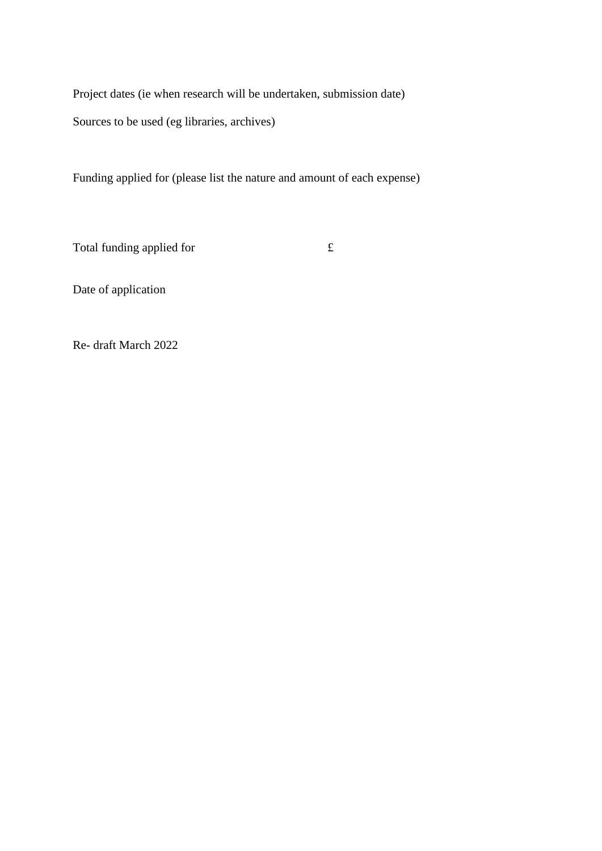Project dates (ie when research will be undertaken, submission date) Sources to be used (eg libraries, archives)

Funding applied for (please list the nature and amount of each expense)

Total funding applied for  $\mathbf f$ 

Date of application

Re- draft March 2022